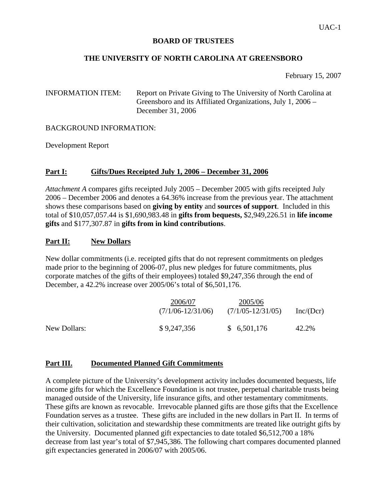### **BOARD OF TRUSTEES**

## **THE UNIVERSITY OF NORTH CAROLINA AT GREENSBORO**

February 15, 2007

# INFORMATION ITEM: Report on Private Giving to The University of North Carolina at Greensboro and its Affiliated Organizations, July 1, 2006 – December 31, 2006

#### BACKGROUND INFORMATION:

Development Report

# **Part I: Gifts/Dues Receipted July 1, 2006 – December 31, 2006**

*Attachment A* compares gifts receipted July 2005 – December 2005 with gifts receipted July 2006 – December 2006 and denotes a 64.36% increase from the previous year. The attachment shows these comparisons based on **giving by entity** and **sources of support**. Included in this total of \$10,057,057.44 is \$1,690,983.48 in **gifts from bequests,** \$2,949,226.51 in **life income gifts** and \$177,307.87 in **gifts from in kind contributions**.

# **Part II: New Dollars**

New dollar commitments (i.e. receipted gifts that do not represent commitments on pledges made prior to the beginning of 2006-07, plus new pledges for future commitments, plus corporate matches of the gifts of their employees) totaled \$9,247,356 through the end of December, a 42.2% increase over 2005/06's total of \$6,501,176.

|              | 2006/07<br>$(7/1/06 - 12/31/06)$ | 2005/06<br>$(7/1/05 - 12/31/05)$ | Inc/(Dcr) |
|--------------|----------------------------------|----------------------------------|-----------|
| New Dollars: | \$9,247,356                      | \$6,501,176                      | 42.2%     |

# **Part III. Documented Planned Gift Commitments**

A complete picture of the University's development activity includes documented bequests, life income gifts for which the Excellence Foundation is not trustee, perpetual charitable trusts being managed outside of the University, life insurance gifts, and other testamentary commitments. These gifts are known as revocable. Irrevocable planned gifts are those gifts that the Excellence Foundation serves as a trustee. These gifts are included in the new dollars in Part II. In terms of their cultivation, solicitation and stewardship these commitments are treated like outright gifts by the University. Documented planned gift expectancies to date totaled \$6,512,700 a 18% decrease from last year's total of \$7,945,386. The following chart compares documented planned gift expectancies generated in 2006/07 with 2005/06.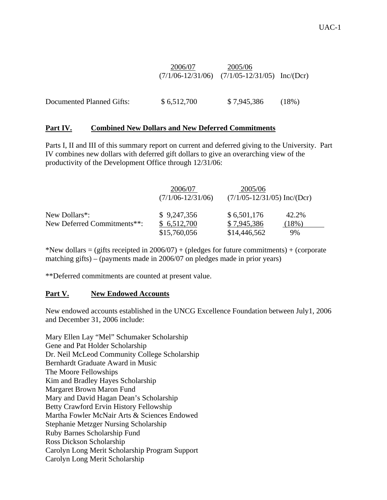|                           | 2006/07     | 2005/06<br>$(7/1/06 - 12/31/06)$ $(7/1/05 - 12/31/05)$ Inc/(Dcr) |          |
|---------------------------|-------------|------------------------------------------------------------------|----------|
| Documented Planned Gifts: | \$6,512,700 | \$7,945,386                                                      | $(18\%)$ |

# **Part IV. Combined New Dollars and New Deferred Commitments**

Parts I, II and III of this summary report on current and deferred giving to the University. Part IV combines new dollars with deferred gift dollars to give an overarching view of the productivity of the Development Office through 12/31/06:

|                             | 2006/07<br>$(7/1/06 - 12/31/06)$ | 2005/06<br>$(7/1/05-12/31/05)$ Inc/(Dcr) |          |
|-----------------------------|----------------------------------|------------------------------------------|----------|
| New Dollars <sup>*</sup> :  | \$9,247,356                      | \$6,501,176                              | 42.2%    |
| New Deferred Commitments**: | \$6,512,700                      | \$7,945,386                              | $(18\%)$ |
|                             | \$15,760,056                     | \$14,446,562                             | 9%       |

\*New dollars = (gifts receipted in  $2006/07$ ) + (pledges for future commitments) + (corporate matching gifts) – (payments made in 2006/07 on pledges made in prior years)

\*\*Deferred commitments are counted at present value.

#### **Part V. New Endowed Accounts**

New endowed accounts established in the UNCG Excellence Foundation between July1, 2006 and December 31, 2006 include:

Mary Ellen Lay "Mel" Schumaker Scholarship Gene and Pat Holder Scholarship Dr. Neil McLeod Community College Scholarship Bernhardt Graduate Award in Music The Moore Fellowships Kim and Bradley Hayes Scholarship Margaret Brown Maron Fund Mary and David Hagan Dean's Scholarship Betty Crawford Ervin History Fellowship Martha Fowler McNair Arts & Sciences Endowed Stephanie Metzger Nursing Scholarship Ruby Barnes Scholarship Fund Ross Dickson Scholarship Carolyn Long Merit Scholarship Program Support Carolyn Long Merit Scholarship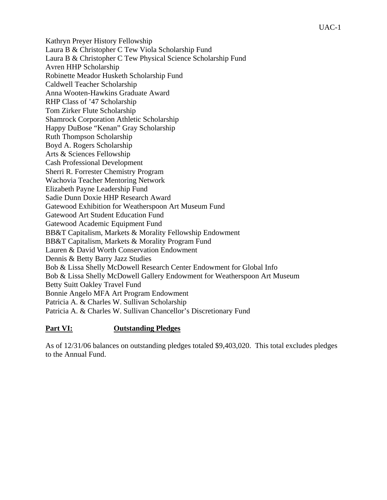Kathryn Preyer History Fellowship Laura B & Christopher C Tew Viola Scholarship Fund Laura B & Christopher C Tew Physical Science Scholarship Fund Avren HHP Scholarship Robinette Meador Husketh Scholarship Fund Caldwell Teacher Scholarship Anna Wooten-Hawkins Graduate Award RHP Class of '47 Scholarship Tom Zirker Flute Scholarship Shamrock Corporation Athletic Scholarship Happy DuBose "Kenan" Gray Scholarship Ruth Thompson Scholarship Boyd A. Rogers Scholarship Arts & Sciences Fellowship Cash Professional Development Sherri R. Forrester Chemistry Program Wachovia Teacher Mentoring Network Elizabeth Payne Leadership Fund Sadie Dunn Doxie HHP Research Award Gatewood Exhibition for Weatherspoon Art Museum Fund Gatewood Art Student Education Fund Gatewood Academic Equipment Fund BB&T Capitalism, Markets & Morality Fellowship Endowment BB&T Capitalism, Markets & Morality Program Fund Lauren & David Worth Conservation Endowment Dennis & Betty Barry Jazz Studies Bob & Lissa Shelly McDowell Research Center Endowment for Global Info Bob & Lissa Shelly McDowell Gallery Endowment for Weatherspoon Art Museum Betty Suitt Oakley Travel Fund Bonnie Angelo MFA Art Program Endowment Patricia A. & Charles W. Sullivan Scholarship Patricia A. & Charles W. Sullivan Chancellor's Discretionary Fund

# **Part VI: Outstanding Pledges**

As of 12/31/06 balances on outstanding pledges totaled \$9,403,020. This total excludes pledges to the Annual Fund.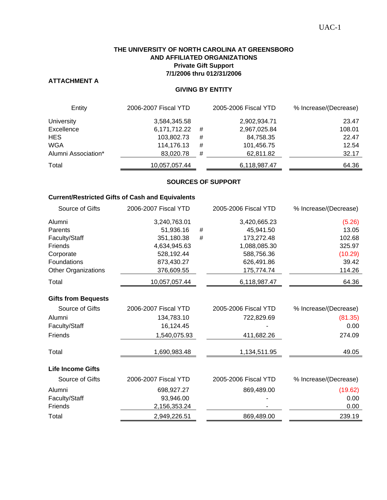#### **THE UNIVERSITY OF NORTH CAROLINA AT GREENSBORO AND AFFILIATED ORGANIZATIONS Private Gift Support 7/1/2006 thru 012/31/2006**

# **ATTACHMENT A**

#### **GIVING BY ENTITY**

| Entity              | 2006-2007 Fiscal YTD |   | 2005-2006 Fiscal YTD | % Increase/(Decrease) |
|---------------------|----------------------|---|----------------------|-----------------------|
| <b>University</b>   | 3,584,345.58         |   | 2,902,934.71         | 23.47                 |
| Excellence          | 6,171,712.22         | # | 2,967,025.84         | 108.01                |
| <b>HES</b>          | 103,802.73           | # | 84,758.35            | 22.47                 |
| <b>WGA</b>          | 114,176.13           | # | 101,456.75           | 12.54                 |
| Alumni Association* | 83,020.78            | # | 62,811.82            | 32.17                 |
| Total               | 10,057,057.44        |   | 6,118,987.47         | 64.36                 |

#### **SOURCES OF SUPPORT**

#### **Current/Restricted Gifts of Cash and Equivalents**

| Source of Gifts            | 2006-2007 Fiscal YTD |      | 2005-2006 Fiscal YTD | % Increase/(Decrease) |
|----------------------------|----------------------|------|----------------------|-----------------------|
| Alumni                     | 3,240,763.01         |      | 3,420,665.23         | (5.26)                |
| Parents                    | 51,936.16            | #    | 45,941.50            | 13.05                 |
| Faculty/Staff              | 351,180.38           | $\#$ | 173,272.48           | 102.68                |
| Friends                    | 4,634,945.63         |      | 1,088,085.30         | 325.97                |
| Corporate                  | 528,192.44           |      | 588,756.36           | (10.29)               |
| Foundations                | 873,430.27           |      | 626,491.86           | 39.42                 |
| <b>Other Organizations</b> | 376,609.55           |      | 175,774.74           | 114.26                |
| Total                      | 10,057,057.44        |      | 6,118,987.47         | 64.36                 |
| <b>Gifts from Bequests</b> |                      |      |                      |                       |
| Source of Gifts            | 2006-2007 Fiscal YTD |      | 2005-2006 Fiscal YTD | % Increase/(Decrease) |
| Alumni                     | 134,783.10           |      | 722,829.69           | (81.35)               |
| Faculty/Staff              | 16,124.45            |      |                      | 0.00                  |
| Friends                    | 1,540,075.93         |      | 411,682.26           | 274.09                |
| Total                      | 1,690,983.48         |      | 1,134,511.95         | 49.05                 |
| <b>Life Income Gifts</b>   |                      |      |                      |                       |
| Source of Gifts            | 2006-2007 Fiscal YTD |      | 2005-2006 Fiscal YTD | % Increase/(Decrease) |
| Alumni                     | 698,927.27           |      | 869,489.00           | (19.62)               |
| Faculty/Staff              | 93,946.00            |      |                      | 0.00                  |
| Friends                    | 2,156,353.24         |      |                      | 0.00                  |
| Total                      | 2,949,226.51         |      | 869,489.00           | 239.19                |